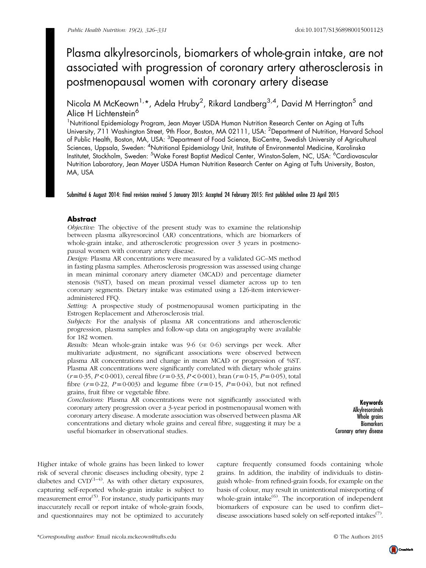# Plasma alkylresorcinols, biomarkers of whole-grain intake, are not associated with progression of coronary artery atherosclerosis in postmenopausal women with coronary artery disease

Nicola M McKeown<sup>1,</sup>\*, Adela Hruby<sup>2</sup>, Rikard Landberg<sup>3,4</sup>, David M Herrington<sup>5</sup> and Alice H Lichtenstein<sup>6</sup>

<sup>1</sup>Nutritional Epidemiology Program, Jean Mayer USDA Human Nutrition Research Center on Aging at Tufts University, 711 Washington Street, 9th Floor, Boston, MA 02111, USA: <sup>2</sup>Department of Nutrition, Harvard School of Public Health, Boston, MA, USA: <sup>3</sup>Department of Food Science, BioCentre, Swedish University of Agricultural Sciences, Uppsala, Sweden: <sup>4</sup>Nutritional Epidemiology Unit, Institute of Environmental Medicine, Karolinska Institutet, Stockholm, Sweden: <sup>5</sup>Wake Forest Baptist Medical Center, Winston-Salem, NC, USA: <sup>6</sup>Cardiovascular Nutrition Laboratory, Jean Mayer USDA Human Nutrition Research Center on Aging at Tufts University, Boston, MA, USA

Submitted 6 August 2014: Final revision received 5 January 2015: Accepted 24 February 2015: First published online 23 April 2015

### **Abstract**

Objective: The objective of the present study was to examine the relationship between plasma alkyresorcinol (AR) concentrations, which are biomarkers of whole-grain intake, and atherosclerotic progression over 3 years in postmenopausal women with coronary artery disease.

Design: Plasma AR concentrations were measured by a validated GC–MS method in fasting plasma samples. Atherosclerosis progression was assessed using change in mean minimal coronary artery diameter (MCAD) and percentage diameter stenosis (%ST), based on mean proximal vessel diameter across up to ten coronary segments. Dietary intake was estimated using a 126-item intervieweradministered FFQ.

Setting: A prospective study of postmenopausal women participating in the Estrogen Replacement and Atherosclerosis trial.

Subjects: For the analysis of plasma AR concentrations and atherosclerotic progression, plasma samples and follow-up data on angiography were available for 182 women.

Results: Mean whole-grain intake was  $9.6$  (se  $0.6$ ) servings per week. After multivariate adjustment, no significant associations were observed between plasma AR concentrations and change in mean MCAD or progression of %ST. Plasma AR concentrations were significantly correlated with dietary whole grains  $(r=0.35, P<0.001)$ , cereal fibre  $(r=0.33, P<0.001)$ , bran  $(r=0.15, P=0.05)$ , total fibre  $(r=0.22, P=0.003)$  and legume fibre  $(r=0.15, P=0.04)$ , but not refined grains, fruit fibre or vegetable fibre.

Conclusions: Plasma AR concentrations were not significantly associated with coronary artery progression over a 3-year period in postmenopausal women with coronary artery disease. A moderate association was observed between plasma AR concentrations and dietary whole grains and cereal fibre, suggesting it may be a useful biomarker in observational studies.

Keywords Alkylresorcinols Whole grains **Biomarkers** Coronary artery disease

Higher intake of whole grains has been linked to lower risk of several chronic diseases including obesity, type 2 diabetes and  $CVD^{(1-4)}$  $CVD^{(1-4)}$  $CVD^{(1-4)}$  $CVD^{(1-4)}$  $CVD^{(1-4)}$ . As with other dietary exposures, capturing self-reported whole-grain intake is subject to  $\frac{1}{2}$  measurement error<sup>([5](#page-4-0))</sup>. For instance, study participants may inaccurately recall or report intake of whole-grain foods, and questionnaires may not be optimized to accurately

capture frequently consumed foods containing whole grains. In addition, the inability of individuals to distinguish whole- from refined-grain foods, for example on the basis of colour, may result in unintentional misreporting of whole-grain intake $^{(6)}$  $^{(6)}$  $^{(6)}$ . The incorporation of independent biomarkers of exposure can be used to confirm diet– disease associations based solely on self-reported intakes $(7)$  $(7)$  $(7)$ .

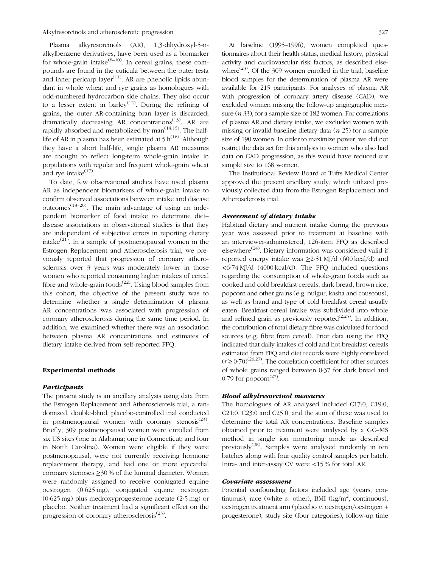Plasma alkyresorcinols (AR), 1,3-dihydroxyl-5-nalkylbenzene derivatives, have been used as a biomarker for whole-grain intake $^{(8-10)}$  $^{(8-10)}$  $^{(8-10)}$  $^{(8-10)}$  $^{(8-10)}$ . In cereal grains, these compounds are found in the cuticula between the outer testa and inner pericarp layer<sup>[\(11](#page-5-0))</sup>. AR are phenolic lipids abundant in whole wheat and rye grains as homologues with odd-numbered hydrocarbon side chains. They also occur to a lesser extent in barley<sup>[\(12](#page-5-0))</sup>. During the refining of grains, the outer AR-containing bran layer is discarded; dramatically decreasing AR concentrations<sup>([13](#page-5-0))</sup>. AR are rapidly absorbed and metabolized by  $man^{(14,15)}$  $man^{(14,15)}$  $man^{(14,15)}$ . The halflife of AR in plasma has been estimated at  $5 h^{(16)}$  $5 h^{(16)}$  $5 h^{(16)}$ . Although they have a short half-life, single plasma AR measures are thought to reflect long-term whole-grain intake in populations with regular and frequent whole-grain wheat and rye intake $^{(17)}$  $^{(17)}$  $^{(17)}$ .

To date, few observational studies have used plasma AR as independent biomarkers of whole-grain intake to confirm observed associations between intake and disease outcomes<sup> $(18-20)$  $(18-20)$  $(18-20)$  $(18-20)$  $(18-20)$ </sup>. The main advantage of using an independent biomarker of food intake to determine diet– disease associations in observational studies is that they are independent of subjective errors in reporting dietary intake $^{(21)}$  $^{(21)}$  $^{(21)}$ . In a sample of postmenopausal women in the Estrogen Replacement and Atherosclerosis trial, we previously reported that progression of coronary atherosclerosis over 3 years was moderately lower in those women who reported consuming higher intakes of cereal fibre and whole-grain foods $(22)$  $(22)$  $(22)$ . Using blood samples from this cohort, the objective of the present study was to determine whether a single determination of plasma AR concentrations was associated with progression of coronary atherosclerosis during the same time period. In addition, we examined whether there was an association between plasma AR concentrations and estimates of dietary intake derived from self-reported FFQ.

#### Experimental methods

#### **Participants**

The present study is an ancillary analysis using data from the Estrogen Replacement and Atherosclerosis trial, a randomized, double-blind, placebo-controlled trial conducted in postmenopausal women with coronary stenosis<sup> $(23)$  $(23)$ </sup>. Briefly, 309 postmenopausal women were enrolled from six US sites (one in Alabama; one in Connecticut; and four in North Carolina). Women were eligible if they were postmenopausal, were not currently receiving hormone replacement therapy, and had one or more epicardial coronary stenoses  $\geq$ 30 % of the luminal diameter. Women were randomly assigned to receive conjugated equine oestrogen (0·625 mg), conjugated equine oestrogen (0·625 mg) plus medroxyprogesterone acetate (2·5 mg) or placebo. Neither treatment had a significant effect on the progression of coronary atherosclerosis $^{(23)}$  $^{(23)}$  $^{(23)}$ .

At baseline (1995–1996), women completed questionnaires about their health status, medical history, physical activity and cardiovascular risk factors, as described elsewhere<sup> $(23)$  $(23)$ </sup>. Of the 309 women enrolled in the trial, baseline blood samples for the determination of plasma AR were available for 215 participants. For analyses of plasma AR with progression of coronary artery disease (CAD), we excluded women missing the follow-up angiographic measure  $(n 33)$ , for a sample size of 182 women. For correlations of plasma AR and dietary intake, we excluded women with missing or invalid baseline dietary data (n 25) for a sample size of 190 women. In order to maximize power, we did not restrict the data set for this analysis to women who also had data on CAD progression, as this would have reduced our

The Institutional Review Board at Tufts Medical Center approved the present ancillary study, which utilized previously collected data from the Estrogen Replacement and Atherosclerosis trial.

#### Assessment of dietary intake

sample size to 168 women.

Habitual dietary and nutrient intake during the previous year was assessed prior to treatment at baseline with an interviewer-administered, 126-item FFQ as described elsewhere<sup> $(24)$  $(24)$ </sup>. Dietary information was considered valid if reported energy intake was  $\geq$ 2.51 MJ/d (600 kcal/d) and <6·74 MJ/d (4000 kcal/d). The FFQ included questions regarding the consumption of whole-grain foods such as cooked and cold breakfast cereals, dark bread, brown rice, popcorn and other grains (e.g. bulgur, kasha and couscous), as well as brand and type of cold breakfast cereal usually eaten. Breakfast cereal intake was subdivided into whole and refined grain as previously reported<sup> $(2,25)$  $(2,25)$  $(2,25)$ </sup>. In addition, the contribution of total dietary fibre was calculated for food sources (e.g. fibre from cereal). Prior data using the FFQ indicated that daily intakes of cold and hot breakfast cereals estimated from FFQ and diet records were highly correlated  $(r\geq 0.70)^{(26,27)}$  $(r\geq 0.70)^{(26,27)}$  $(r\geq 0.70)^{(26,27)}$ . The correlation coefficient for other sources of whole grains ranged between 0·37 for dark bread and  $0.79$  for popcorn<sup> $(27)$  $(27)$  $(27)$ </sup>.

#### Blood alkylresorcinol measures

The homologues of AR analysed included C17:0, C19:0, C21:0, C23:0 and C25:0; and the sum of these was used to determine the total AR concentrations. Baseline samples obtained prior to treatment were analysed by a GC–MS method in single ion monitoring mode as described previously<sup>([28\)](#page-5-0)</sup>. Samples were analysed randomly in ten batches along with four quality control samples per batch. Intra- and inter-assay CV were <15 % for total AR.

#### Covariate assessment

Potential confounding factors included age (years, continuous), race (white v. other), BMI (kg/m<sup>2</sup>, continuous), oestrogen treatment arm (placebo v. oestrogen/oestrogen + progesterone), study site (four categories), follow-up time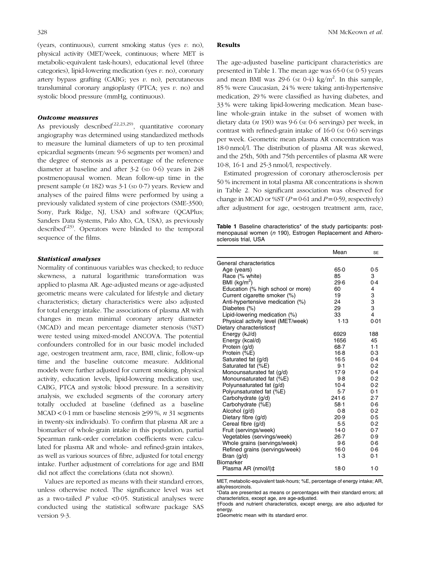(years, continuous), current smoking status (yes  $v$ . no), physical activity (MET/week, continuous; where MET is metabolic-equivalent task-hours), educational level (three categories), lipid-lowering medication (yes  $v$ . no), coronary artery bypass grafting (CABG; yes  $v$ , no), percutaneous transluminal coronary angioplasty (PTCA; yes  $v$ . no) and systolic blood pressure (mmHg, continuous).

#### Outcome measures

As previously described<sup>[\(22](#page-5-0),[23](#page-5-0),[29\)](#page-5-0)</sup>, quantitative coronary angiography was determined using standardized methods to measure the luminal diameters of up to ten proximal epicardial segments (mean: 9·6 segments per women) and the degree of stenosis as a percentage of the reference diameter at baseline and after 3.2 (sp 0.6) years in 248 postmenopausal women. Mean follow-up time in the present sample  $(n 182)$  was  $3.1$  (sp  $0.7$ ) years. Review and analyses of the paired films were performed by using a previously validated system of cine projectors (SME-3500; Sony, Park Ridge, NJ, USA) and software (OCAPlus; Sanders Data Systems, Palo Alto, CA, USA), as previously described<sup> $(23)$  $(23)$ </sup>. Operators were blinded to the temporal sequence of the films.

#### Statistical analyses

Normality of continuous variables was checked; to reduce skewness, a natural logarithmic transformation was applied to plasma AR. Age-adjusted means or age-adjusted geometric means were calculated for lifestyle and dietary characteristics; dietary characteristics were also adjusted for total energy intake. The associations of plasma AR with changes in mean minimal coronary artery diameter (MCAD) and mean percentage diameter stenosis (%ST) were tested using mixed-model ANCOVA. The potential confounders controlled for in our basic model included age, oestrogen treatment arm, race, BMI, clinic, follow-up time and the baseline outcome measure. Additional models were further adjusted for current smoking, physical activity, education levels, lipid-lowering medication use, CABG, PTCA and systolic blood pressure. In a sensitivity analysis, we excluded segments of the coronary artery totally occluded at baseline (defined as a baseline MCAD < 0.1 mm or baseline stenosis  $\geq$ 99%, *n* 31 segments in twenty-six individuals). To confirm that plasma AR are a biomarker of whole-grain intake in this population, partial Spearman rank-order correlation coefficients were calculated for plasma AR and whole- and refined-grain intakes, as well as various sources of fibre, adjusted for total energy intake. Further adjustment of correlations for age and BMI did not affect the correlations (data not shown).

Values are reported as means with their standard errors, unless otherwise noted. The significance level was set as a two-tailed  $P$  value <0.05. Statistical analyses were conducted using the statistical software package SAS version 9·3.

#### Results

The age-adjusted baseline participant characteristics are presented in Table 1. The mean age was  $65.0$  (se  $0.5$ ) years and mean BMI was 29.6 (se 0.4) kg/m<sup>2</sup>. In this sample, 85 % were Caucasian, 24 % were taking anti-hypertensive medication, 29 % were classified as having diabetes, and 33 % were taking lipid-lowering medication. Mean baseline whole-grain intake in the subset of women with dietary data  $(n 190)$  was 9.6 (se 0.6 servings) per week, in contrast with refined-grain intake of  $16·0$  (se  $0·6$ ) servings per week. Geometric mean plasma AR concentration was 18·0 nmol/l. The distribution of plasma AR was skewed, and the 25th, 50th and 75th percentiles of plasma AR were 10·8, 16·1 and 25·3 nmol/l, respectively.

Estimated progression of coronary atherosclerosis per 50 % increment in total plasma AR concentrations is shown in [Table 2.](#page-3-0) No significant association was observed for change in MCAD or %ST ( $P=0.61$  and  $P=0.59$ , respectively) after adjustment for age, oestrogen treatment arm, race,

Table 1 Baseline characteristics<sup>\*</sup> of the study participants: postmenopausal women (n 190), Estrogen Replacement and Atherosclerosis trial, USA

|                                    | Mean     | <b>SE</b>   |
|------------------------------------|----------|-------------|
| General characteristics            |          |             |
| Age (years)                        | 65.0     | 0.5         |
| Race (% white)                     | 85       | 3           |
| BMI $(kg/m^2)$                     | 29.6     | 0.4         |
| Education (% high school or more)  | 60       | 4           |
| Current cigarette smoker (%)       | 19       |             |
| Anti-hypertensive medication (%)   | 24       | 3<br>3<br>3 |
| Diabetes (%)                       | 29       |             |
| Lipid-lowering medication (%)      | 33       | 4           |
| Physical activity level (MET/week) | 1.13     | 0.01        |
| Dietary characteristics†           |          |             |
| Energy (kJ/d)                      | 6929     | 188         |
| Energy (kcal/d)                    | 1656     | 45          |
| Protein (g/d)                      | $68 - 7$ | $1-1$       |
| Protein (%E)                       | $16-8$   | 0.3         |
| Saturated fat (g/d)                | $16-5$   | 0.4         |
| Saturated fat (%E)                 | 9.1      | 0.2         |
| Monounsaturated fat (g/d)          | 17.9     | 0.4         |
| Monounsaturated fat (%E)           | 9.8      | 0.2         |
| Polyunsaturated fat (g/d)          | $10-4$   | 0.2         |
| Polyunsaturated fat (%E)           | $5-7$    | 0.1         |
| Carbohydrate (g/d)                 | 241.6    | 2.7         |
| Carbohydrate (%E)                  | $58-1$   | 0.6         |
| Alcohol (g/d)                      | 0.8      | 0.2         |
| Dietary fibre (g/d)                | 20.9     | 0.5         |
| Cereal fibre (g/d)                 | 5.5      | 0.2         |
| Fruit (servings/week)              | 14.0     | 0.7         |
| Vegetables (servings/week)         | $26 - 7$ | 0.9         |
| Whole grains (servings/week)       | 9.6      | 0.6         |
| Refined grains (servings/week)     | $16 - 0$ | 0.6         |
| Bran $(g/d)$                       | 1.3      | 0.1         |
| Biomarker                          |          |             |
| Plasma AR (nmol/l)‡                | 18.0     | 1.0         |
|                                    |          |             |

MET, metabolic-equivalent task-hours; %E, percentage of energy intake; AR, alkylresorcinols.

\*Data are presented as means or percentages with their standard errors; all characteristics, except age, are age-adjusted.

†Foods and nutrient characteristics, except energy, are also adjusted for energy.

‡Geometric mean with its standard error.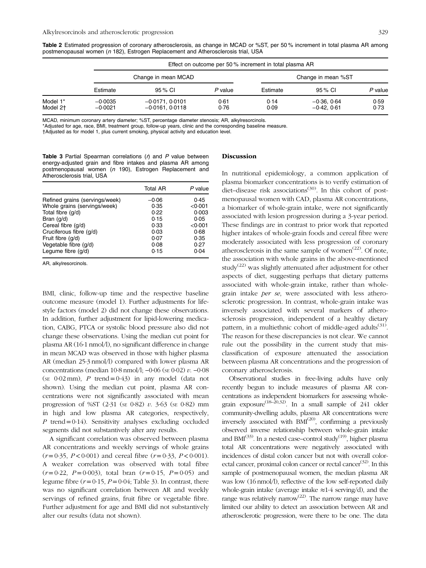<span id="page-3-0"></span>Table 2 Estimated progression of coronary atherosclerosis, as change in MCAD or %ST, per 50% increment in total plasma AR among postmenopausal women (n 182), Estrogen Replacement and Atherosclerosis trial, USA

|                      |                        | Effect on outcome per 50 % increment in total plasma AR |              |                    |                              |              |  |
|----------------------|------------------------|---------------------------------------------------------|--------------|--------------------|------------------------------|--------------|--|
|                      | Change in mean MCAD    |                                                         |              | Change in mean %ST |                              |              |  |
|                      | Estimate               | 95 % CI                                                 | P value      | Estimate           | 95 % CI                      | P value      |  |
| Model 1*<br>Model 2+ | $-0.0035$<br>$-0.0021$ | $-0.0171, 0.0101$<br>$-0.0161$ . $0.0118$               | 0.61<br>0.76 | 0.14<br>0.09       | $-0.36, 0.64$<br>$-0.42.061$ | 0.59<br>0.73 |  |

MCAD, minimum coronary artery diameter; %ST, percentage diameter stenosis; AR, alkylresorcinols.

\*Adjusted for age, race, BMI, treatment group, follow-up years, clinic and the corresponding baseline measure.

†Adjusted as for model 1, plus current smoking, physical activity and education level.

Table 3 Partial Spearman correlations  $(r)$  and  $P$  value between energy-adjusted grain and fibre intakes and plasma AR among postmenopausal women (n 190), Estrogen Replacement and Atherosclerosis trial, USA

|                                | <b>Total AR</b> | P value |
|--------------------------------|-----------------|---------|
| Refined grains (servings/week) | $-0.06$         | 0.45    |
| Whole grains (servings/week)   | 0.35            | < 0.001 |
| Total fibre (g/d)              | 0.22            | 0.003   |
| Bran $(q/d)$                   | 0.15            | 0.05    |
| Cereal fibre (q/d)             | 0.33            | < 0.001 |
| Cruciferous fibre (q/d)        | 0.03            | 0.68    |
| Fruit fibre $(q/d)$            | 0.07            | 0.35    |
| Vegetable fibre (g/d)          | 0.08            | 0.27    |
| Legume fibre (g/d)             | 0.15            | 0.04    |

AR, alkylresorcinols.

BMI, clinic, follow-up time and the respective baseline outcome measure (model 1). Further adjustments for lifestyle factors (model 2) did not change these observations. In addition, further adjustment for lipid-lowering medication, CABG, PTCA or systolic blood pressure also did not change these observations. Using the median cut point for plasma AR (16·1 nmol/l), no significant difference in change in mean MCAD was observed in those with higher plasma AR (median 25·3 nmol/l) compared with lower plasma AR concentrations (median 10·8 nmol/l; −0·06 (SE 0·02) v. −0·08 (se  $0.02$  mm), P trend =  $0.43$ ) in any model (data not shown). Using the median cut point, plasma AR concentrations were not significantly associated with mean progression of %ST  $(2.31 \text{ (se } 0.82) v. 3.63 \text{ (se } 0.82) \text{ mm})$ in high and low plasma AR categories, respectively, P trend=0.14). Sensitivity analyses excluding occluded segments did not substantively alter any results.

A significant correlation was observed between plasma AR concentrations and weekly servings of whole grains  $(r=0.35, P<0.001)$  and cereal fibre  $(r=0.33, P<0.001)$ . A weaker correlation was observed with total fibre  $(r=0.22, P=0.003)$ , total bran  $(r=0.15, P=0.05)$  and legume fibre  $(r=0.15, P=0.04;$  Table 3). In contrast, there was no significant correlation between AR and weekly servings of refined grains, fruit fibre or vegetable fibre. Further adjustment for age and BMI did not substantively alter our results (data not shown).

#### Discussion

In nutritional epidemiology, a common application of plasma biomarker concentrations is to verify estimation of diet–disease risk associations<sup>([30\)](#page-5-0)</sup>. In this cohort of postmenopausal women with CAD, plasma AR concentrations, a biomarker of whole-grain intake, were not significantly associated with lesion progression during a 3-year period. These findings are in contrast to prior work that reported higher intakes of whole-grain foods and cereal fibre were moderately associated with less progression of coronary atherosclerosis in the same sample of women $(22)$  $(22)$ . Of note, the association with whole grains in the above-mentioned study<sup>[\(22](#page-5-0))</sup> was slightly attenuated after adjustment for other aspects of diet, suggesting perhaps that dietary patterns associated with whole-grain intake, rather than wholegrain intake per se, were associated with less atherosclerotic progression. In contrast, whole-grain intake was inversely associated with several markers of atherosclerosis progression, independent of a healthy dietary pattern, in a multiethnic cohort of middle-aged adults<sup> $(31)$  $(31)$ </sup>. The reason for these discrepancies is not clear. We cannot rule out the possibility in the current study that misclassification of exposure attenuated the association between plasma AR concentrations and the progression of coronary atherosclerosis.

Observational studies in free-living adults have only recently begun to include measures of plasma AR concentrations as independent biomarkers for assessing whole-grain exposure<sup>([18](#page-5-0)–[20,32](#page-5-0))</sup>. In a small sample of 241 older community-dwelling adults, plasma AR concentrations were inversely associated with  $BMI<sup>(20)</sup>$  $BMI<sup>(20)</sup>$  $BMI<sup>(20)</sup>$ , confirming a previously observed inverse relationship between whole-grain intake and  $BMI^{(33)}$  $BMI^{(33)}$  $BMI^{(33)}$ . In a nested case–control study<sup>([19](#page-5-0))</sup>, higher plasma total AR concentrations were negatively associated with incidences of distal colon cancer but not with overall color-ectal cancer, proximal colon cancer or rectal cancer<sup>[\(32\)](#page-5-0)</sup>. In this sample of postmenopausal women, the median plasma AR was low (16 nmol/l), reflective of the low self-reported daily whole-grain intake (average intake ≈1·4 serving/d), and the range was relatively narrow<sup>[\(22\)](#page-5-0)</sup>. The narrow range may have limited our ability to detect an association between AR and atherosclerotic progression, were there to be one. The data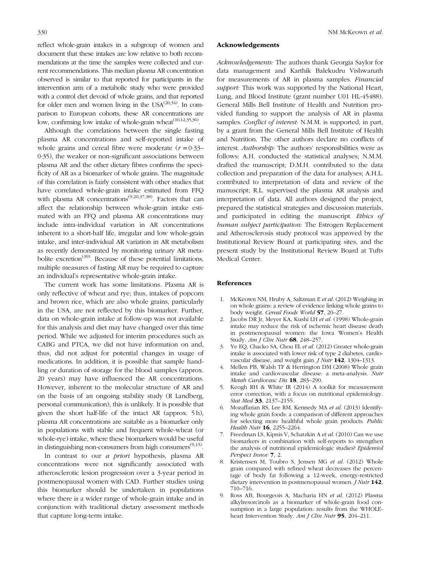reflect whole-grain intakes in a subgroup of women and document that these intakes are low relative to both recommendations at the time the samples were collected and current recommendations. This median plasma AR concentration observed is similar to that reported for participants in the intervention arm of a metabolic study who were provided with a control diet devoid of whole grains, and that reported for older men and women living in the  $USA^{(20,34)}$  $USA^{(20,34)}$  $USA^{(20,34)}$ . In comparison to European cohorts, these AR concentrations are low, confirming low intake of whole-grain wheat<sup>[\(10,12,35](#page-5-0),[36](#page-5-0))</sup>.

Although the correlations between the single fasting plasma AR concentrations and self-reported intake of whole grains and cereal fibre were moderate  $(r = 0.33-$ 0·35), the weaker or non-significant associations between plasma AR and the other dietary fibres confirms the specificity of AR as a biomarker of whole grains. The magnitude of this correlation is fairly consistent with other studies that have correlated whole-grain intake estimated from FFQ with plasma AR concentrations<sup> $(9,20,37,38)$  $(9,20,37,38)$  $(9,20,37,38)$  $(9,20,37,38)$ </sup>. Factors that can affect the relationship between whole-grain intake estimated with an FFQ and plasma AR concentrations may include intra-individual variation in AR concentrations inherent to a short-half life, irregular and low whole-grain intake, and inter-individual AR variation in AR metabolism as recently demonstrated by monitoring urinary AR metabolite excretion<sup> $(39)$  $(39)$ </sup>. Because of these potential limitations, multiple measures of fasting AR may be required to capture an individual's representative whole-grain intake.

The current work has some limitations. Plasma AR is only reflective of wheat and rye; thus, intakes of popcorn and brown rice, which are also whole grains, particularly in the USA, are not reflected by this biomarker. Further, data on whole-grain intake at follow-up was not available for this analysis and diet may have changed over this time period. While we adjusted for interim procedures such as CABG and PTCA, we did not have information on and, thus, did not adjust for potential changes in usage of medications. In addition, it is possible that sample handling or duration of storage for the blood samples (approx. 20 years) may have influenced the AR concentrations. However, inherent to the molecular structure of AR and on the basis of an ongoing stability study (R Landberg, personal communication), this is unlikely. It is possible that given the short half-life of the intact AR (approx. 5 h), plasma AR concentrations are suitable as a biomarker only in populations with stable and frequent whole-wheat (or whole-rye) intake, where these biomarkers would be useful in distinguishing non-consumers from high consumers<sup> $(9,15)$  $(9,15)$  $(9,15)$ </sup>.

In contrast to our a priori hypothesis, plasma AR concentrations were not significantly associated with atherosclerotic lesion progression over a 3-year period in postmenopausal women with CAD. Further studies using this biomarker should be undertaken in populations where there is a wider range of whole-grain intake and in conjunction with traditional dietary assessment methods that capture long-term intake.

## <span id="page-4-0"></span>330 NM McKeown et al.

#### Acknowledgements

Acknowledgements: The authors thank Georgia Saylor for data management and Karthik Balekudru Vishwanath for measurements of AR in plasma samples. Financial support: This work was supported by the National Heart, Lung, and Blood Institute (grant number U01 HL-45488). General Mills Bell Institute of Health and Nutrition provided funding to support the analysis of AR in plasma samples. *Conflict of interest*: N.M.M. is supported, in part, by a grant from the General Mills Bell Institute of Health and Nutrition. The other authors declare no conflicts of interest. Authorship: The authors' responsibilities were as follows: A.H. conducted the statistical analyses; N.M.M. drafted the manuscript; D.M.H. contributed to the data collection and preparation of the data for analyses; A.H.L. contributed to interpretation of data and review of the manuscript; R.L. supervised the plasma AR analysis and interpretation of data. All authors designed the project, prepared the statistical strategies and discussion materials, and participated in editing the manuscript. Ethics of human subject participation: The Estrogen Replacement and Atherosclerosis study protocol was approved by the Institutional Review Board at participating sites, and the present study by the Institutional Review Board at Tufts Medical Center.

#### References

- 1. McKeown NM, Hruby A, Saltzman E et al. (2012) Weighing in on whole grains: a review of evidence linking whole grains to body weight. Cereal Foods World 57, 20–27.
- 2. Jacobs DR Jr, Meyer KA, Kushi LH et al. (1998) Whole-grain intake may reduce the risk of ischemic heart disease death in postmenopausal women: the Iowa Women's Health Study. Am J Clin Nutr 68, 248–257.
- 3. Ye EQ, Chacko SA, Chou EL et al. (2012) Greater whole-grain intake is associated with lower risk of type 2 diabetes, cardiovascular disease, and weight gain. *J Nutr* 142, 1304-1313.
- Mellen PB, Walsh TF & Herrington DM (2008) Whole grain intake and cardiovascular disease: a meta-analysis. Nutr Metab Cardiovasc Dis 18, 283–290.
- 5. Keogh RH & White IR (2014) A toolkit for measurement error correction, with a focus on nutritional epidemiology. Stat Med 33, 2137-2155.
- 6. Mozaffarian RS, Lee RM, Kennedy MA et al. (2013) Identifying whole grain foods: a comparison of different approaches for selecting more healthful whole grain products. Public Health Nutr **16**, 2255-2264.
- Freedman LS, Kipnis V, Schatzkin A et al. (2010) Can we use biomarkers in combination with self-reports to strengthen the analysis of nutritional epidemiologic studies? Epidemiol Perspect Innov 7, 2.
- 8. Kristensen M, Toubro S, Jensen MG et al. (2012) Whole grain compared with refined wheat decreases the percentage of body fat following a 12-week, energy-restricted dietary intervention in postmenopausal women. *J Nutr* 142, 710–716.
- 9. Ross AB, Bourgeois A, Macharia HN et al. (2012) Plasma alkylresorcinols as a biomarker of whole-grain food consumption in a large population: results from the WHOLEheart Intervention Study. Am J Clin Nutr 95, 204-211.